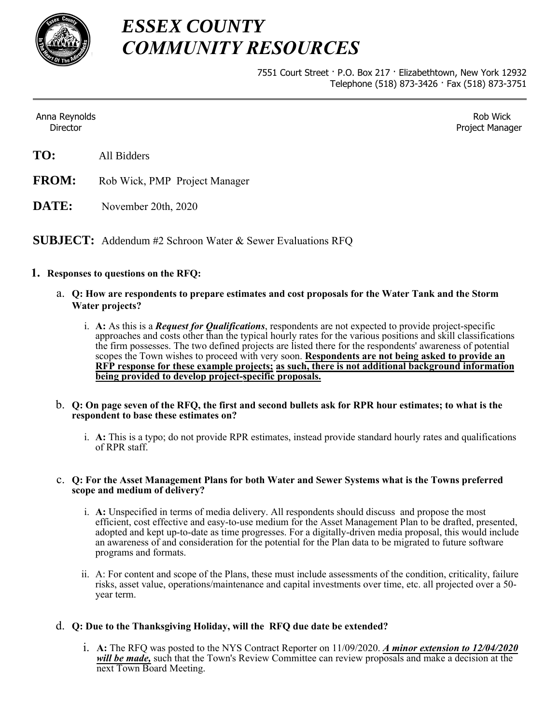

## *ESSEX COUNTY COMMUNITY RESOURCES*

7551 Court Street · P.O. Box 217 · Elizabethtown, New York 12932 Telephone (518) 873-3426 · Fax (518) 873-3751

Anna Reynolds Director

Rob Wick Project Manager

- **FROM:** Rob Wick, PMP Project Manager
- **DATE:** November 20th, 2020

**SUBJECT:** Addendum #2 Schroon Water & Sewer Evaluations RFQ

### **1. Responses to questions on the RFQ:**

- a. **Q: How are respondents to prepare estimates and cost proposals for the Water Tank and the Storm Water projects?**
	- i. **A:** As this is a *Request for Qualifications*, respondents are not expected to provide project-specific approaches and costs other than the typical hourly rates for the various positions and skill classifications the firm possesses. The two defined projects are listed there for the respondents' awareness of potential scopes the Town wishes to proceed with very soon. **Respondents are not being asked to provide an RFP response for these example projects; as such, there is not additional background information being provided to develop project-specific proposals.**
- b. **Q: On page seven of the RFQ, the first and second bullets ask for RPR hour estimates; to what is the respondent to base these estimates on?**
	- i. **A:** This is a typo; do not provide RPR estimates, instead provide standard hourly rates and qualifications of RPR staff.

#### c. **Q: For the Asset Management Plans for both Water and Sewer Systems what is the Towns preferred scope and medium of delivery?**

- i. **A:** Unspecified in terms of media delivery. All respondents should discuss and propose the most efficient, cost effective and easy-to-use medium for the Asset Management Plan to be drafted, presented, adopted and kept up-to-date as time progresses. For a digitally-driven media proposal, this would include an awareness of and consideration for the potential for the Plan data to be migrated to future software programs and formats.
- ii. A: For content and scope of the Plans, these must include assessments of the condition, criticality, failure risks, asset value, operations/maintenance and capital investments over time, etc. all projected over a 50 year term.

### d. **Q: Due to the Thanksgiving Holiday, will the RFQ due date be extended?**

i. **A:** The RFQ was posted to the NYS Contract Reporter on 11/09/2020. *A minor extension to 12/04/2020 will be made,* such that the Town's Review Committee can review proposals and make a decision at the next Town Board Meeting.